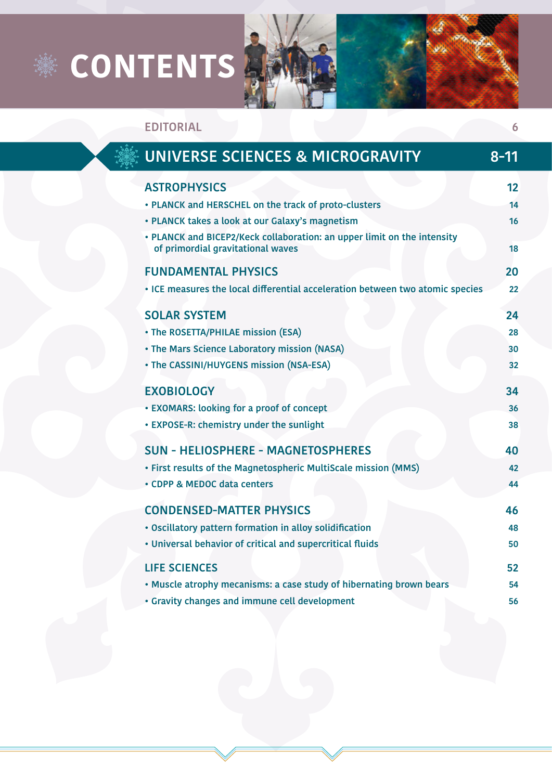## **※ CONTENTS**



**EDITORIAL 6**



| UNIVERSE SCIENCES & MICROGRAVITY                                                                             | $8 - 11$ |
|--------------------------------------------------------------------------------------------------------------|----------|
| <b>ASTROPHYSICS</b>                                                                                          | 12       |
| • PLANCK and HERSCHEL on the track of proto-clusters                                                         | 14       |
| • PLANCK takes a look at our Galaxy's magnetism                                                              | 16       |
| • PLANCK and BICEP2/Keck collaboration: an upper limit on the intensity<br>of primordial gravitational waves | 18       |
| <b>FUNDAMENTAL PHYSICS</b>                                                                                   | 20       |
| . ICE measures the local differential acceleration between two atomic species                                | 22       |
| <b>SOLAR SYSTEM</b>                                                                                          | 24       |
| • The ROSETTA/PHILAE mission (ESA)                                                                           | 28       |
| • The Mars Science Laboratory mission (NASA)                                                                 | 30       |
| • The CASSINI/HUYGENS mission (NSA-ESA)                                                                      | 32       |
| <b>EXOBIOLOGY</b>                                                                                            | 34       |
| • EXOMARS: looking for a proof of concept                                                                    | 36       |
| • EXPOSE-R: chemistry under the sunlight                                                                     | 38       |
| <b>SUN - HELIOSPHERE - MAGNETOSPHERES</b>                                                                    | 40       |
| · First results of the Magnetospheric MultiScale mission (MMS)                                               | 42       |
| • CDPP & MEDOC data centers                                                                                  | 44       |
| <b>CONDENSED-MATTER PHYSICS</b>                                                                              | 46       |
| • Oscillatory pattern formation in alloy solidification                                                      | 48       |
| . Universal behavior of critical and supercritical fluids                                                    | 50       |
| <b>LIFE SCIENCES</b>                                                                                         | 52       |
| . Muscle atrophy mecanisms: a case study of hibernating brown bears                                          | 54       |
| • Gravity changes and immune cell development                                                                | 56       |